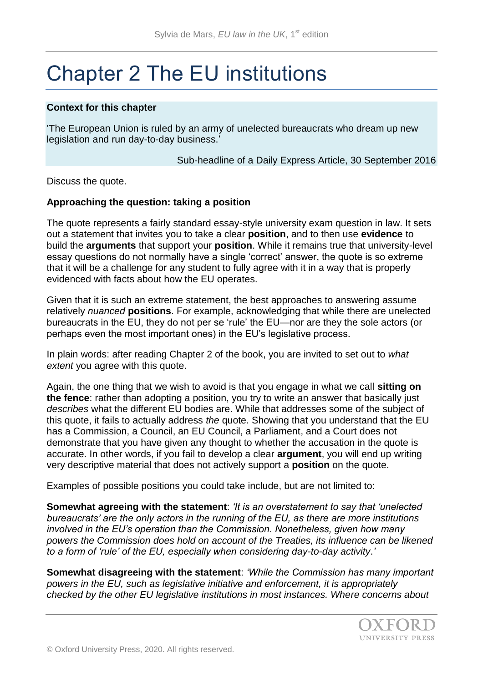# Chapter 2 The EU institutions

#### **Context for this chapter**

'The European Union is ruled by an army of unelected bureaucrats who dream up new legislation and run day-to-day business.'

Sub-headline of a Daily Express Article, 30 September 2016

Discuss the quote.

#### **Approaching the question: taking a position**

The quote represents a fairly standard essay-style university exam question in law. It sets out a statement that invites you to take a clear **position**, and to then use **evidence** to build the **arguments** that support your **position**. While it remains true that university-level essay questions do not normally have a single 'correct' answer, the quote is so extreme that it will be a challenge for any student to fully agree with it in a way that is properly evidenced with facts about how the EU operates.

Given that it is such an extreme statement, the best approaches to answering assume relatively *nuanced* **positions**. For example, acknowledging that while there are unelected bureaucrats in the EU, they do not per se 'rule' the EU—nor are they the sole actors (or perhaps even the most important ones) in the EU's legislative process.

In plain words: after reading Chapter 2 of the book, you are invited to set out to *what extent* you agree with this quote.

Again, the one thing that we wish to avoid is that you engage in what we call **sitting on the fence**: rather than adopting a position, you try to write an answer that basically just *describes* what the different EU bodies are. While that addresses some of the subject of this quote, it fails to actually address *the* quote. Showing that you understand that the EU has a Commission, a Council, an EU Council, a Parliament, and a Court does not demonstrate that you have given any thought to whether the accusation in the quote is accurate. In other words, if you fail to develop a clear **argument**, you will end up writing very descriptive material that does not actively support a **position** on the quote.

Examples of possible positions you could take include, but are not limited to:

**Somewhat agreeing with the statement**: *'It is an overstatement to say that 'unelected bureaucrats' are the only actors in the running of the EU, as there are more institutions involved in the EU's operation than the Commission. Nonetheless, given how many powers the Commission does hold on account of the Treaties, its influence can be likened to a form of 'rule' of the EU, especially when considering day-to-day activity*.*'*

**Somewhat disagreeing with the statement**: *'While the Commission has many important powers in the EU, such as legislative initiative and enforcement, it is appropriately checked by the other EU legislative institutions in most instances. Where concerns about*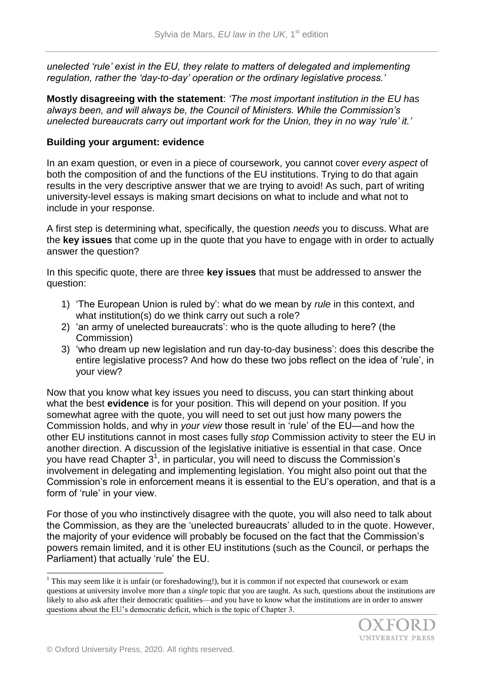*unelected 'rule' exist in the EU, they relate to matters of delegated and implementing regulation, rather the 'day-to-day' operation or the ordinary legislative process.'* 

**Mostly disagreeing with the statement**: *'The most important institution in the EU has always been, and will always be, the Council of Ministers. While the Commission's unelected bureaucrats carry out important work for the Union, they in no way 'rule' it.'*

## **Building your argument: evidence**

In an exam question, or even in a piece of coursework, you cannot cover *every aspect* of both the composition of and the functions of the EU institutions. Trying to do that again results in the very descriptive answer that we are trying to avoid! As such, part of writing university-level essays is making smart decisions on what to include and what not to include in your response.

A first step is determining what, specifically, the question *needs* you to discuss. What are the **key issues** that come up in the quote that you have to engage with in order to actually answer the question?

In this specific quote, there are three **key issues** that must be addressed to answer the question:

- 1) 'The European Union is ruled by': what do we mean by *rule* in this context, and what institution(s) do we think carry out such a role?
- 2) 'an army of unelected bureaucrats': who is the quote alluding to here? (the Commission)
- 3) 'who dream up new legislation and run day-to-day business': does this describe the entire legislative process? And how do these two jobs reflect on the idea of 'rule', in your view?

Now that you know what key issues you need to discuss, you can start thinking about what the best **evidence** is for your position. This will depend on your position. If you somewhat agree with the quote, you will need to set out just how many powers the Commission holds, and why in *your view* those result in 'rule' of the EU—and how the other EU institutions cannot in most cases fully *stop* Commission activity to steer the EU in another direction. A discussion of the legislative initiative is essential in that case. Once you have read Chapter  $3<sup>1</sup>$ , in particular, you will need to discuss the Commission's involvement in delegating and implementing legislation. You might also point out that the Commission's role in enforcement means it is essential to the EU's operation, and that is a form of 'rule' in your view.

For those of you who instinctively disagree with the quote, you will also need to talk about the Commission, as they are the 'unelected bureaucrats' alluded to in the quote. However, the majority of your evidence will probably be focused on the fact that the Commission's powers remain limited, and it is other EU institutions (such as the Council, or perhaps the Parliament) that actually 'rule' the EU.

 $1$  This may seem like it is unfair (or foreshadowing!), but it is common if not expected that coursework or exam questions at university involve more than a *single* topic that you are taught. As such, questions about the institutions are likely to also ask after their democratic qualities—and you have to know what the institutions are in order to answer questions about the EU's democratic deficit, which is the topic of Chapter 3.



l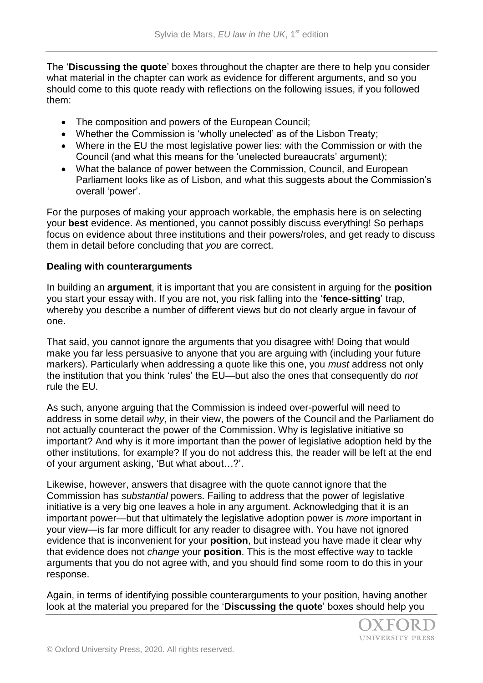The '**Discussing the quote**' boxes throughout the chapter are there to help you consider what material in the chapter can work as evidence for different arguments, and so you should come to this quote ready with reflections on the following issues, if you followed them:

- The composition and powers of the European Council;
- Whether the Commission is 'wholly unelected' as of the Lisbon Treaty;
- Where in the EU the most legislative power lies: with the Commission or with the Council (and what this means for the 'unelected bureaucrats' argument);
- What the balance of power between the Commission, Council, and European Parliament looks like as of Lisbon, and what this suggests about the Commission's overall 'power'.

For the purposes of making your approach workable, the emphasis here is on selecting your **best** evidence. As mentioned, you cannot possibly discuss everything! So perhaps focus on evidence about three institutions and their powers/roles, and get ready to discuss them in detail before concluding that *you* are correct.

## **Dealing with counterarguments**

In building an **argument**, it is important that you are consistent in arguing for the **position**  you start your essay with. If you are not, you risk falling into the '**fence-sitting**' trap, whereby you describe a number of different views but do not clearly argue in favour of one.

That said, you cannot ignore the arguments that you disagree with! Doing that would make you far less persuasive to anyone that you are arguing with (including your future markers). Particularly when addressing a quote like this one, you *must* address not only the institution that you think 'rules' the EU—but also the ones that consequently do *not*  rule the EU.

As such, anyone arguing that the Commission is indeed over-powerful will need to address in some detail *why*, in their view, the powers of the Council and the Parliament do not actually counteract the power of the Commission. Why is legislative initiative so important? And why is it more important than the power of legislative adoption held by the other institutions, for example? If you do not address this, the reader will be left at the end of your argument asking, 'But what about…?'.

Likewise, however, answers that disagree with the quote cannot ignore that the Commission has *substantial* powers. Failing to address that the power of legislative initiative is a very big one leaves a hole in any argument. Acknowledging that it is an important power—but that ultimately the legislative adoption power is *more* important in your view—is far more difficult for any reader to disagree with. You have not ignored evidence that is inconvenient for your **position**, but instead you have made it clear why that evidence does not *change* your **position**. This is the most effective way to tackle arguments that you do not agree with, and you should find some room to do this in your response.

Again, in terms of identifying possible counterarguments to your position, having another look at the material you prepared for the '**Discussing the quote**' boxes should help you